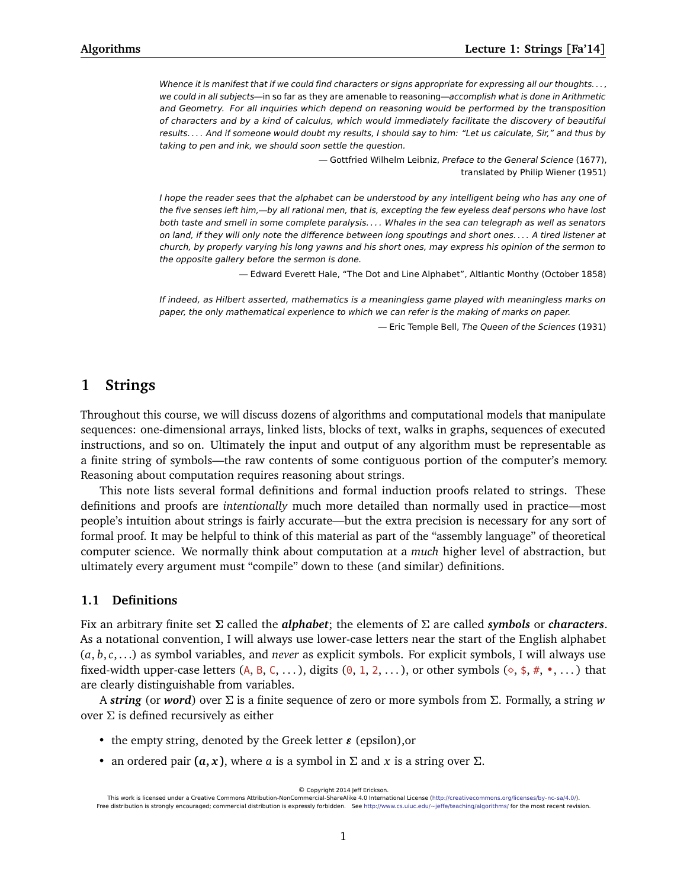Whence it is manifest that if we could find characters or signs appropriate for expressing all our thoughts. . . , we could in all subjects—in so far as they are amenable to reasoning—accomplish what is done in Arithmetic and Geometry. For all inquiries which depend on reasoning would be performed by the transposition of characters and by a kind of calculus, which would immediately facilitate the discovery of beautiful results. . . . And if someone would doubt my results, I should say to him: "Let us calculate, Sir," and thus by taking to pen and ink, we should soon settle the question.

> — Gottfried Wilhelm Leibniz, Preface to the General Science (1677), translated by Philip Wiener (1951)

I hope the reader sees that the alphabet can be understood by any intelligent being who has any one of the five senses left him,—by all rational men, that is, excepting the few eyeless deaf persons who have lost both taste and smell in some complete paralysis. . . . Whales in the sea can telegraph as well as senators on land, if they will only note the difference between long spoutings and short ones. . . . A tired listener at church, by properly varying his long yawns and his short ones, may express his opinion of the sermon to the opposite gallery before the sermon is done.

— Edward Everett Hale, "The Dot and Line Alphabet", Altlantic Monthy (October 1858)

If indeed, as Hilbert asserted, mathematics is a meaningless game played with meaningless marks on paper, the only mathematical experience to which we can refer is the making of marks on paper.

— Eric Temple Bell, The Queen of the Sciences (1931)

# **1 Strings**

Throughout this course, we will discuss dozens of algorithms and computational models that manipulate sequences: one-dimensional arrays, linked lists, blocks of text, walks in graphs, sequences of executed instructions, and so on. Ultimately the input and output of any algorithm must be representable as a finite string of symbols—the raw contents of some contiguous portion of the computer's memory. Reasoning about computation requires reasoning about strings.

This note lists several formal definitions and formal induction proofs related to strings. These definitions and proofs are *intentionally* much more detailed than normally used in practice—most people's intuition about strings is fairly accurate—but the extra precision is necessary for any sort of formal proof. It may be helpful to think of this material as part of the "assembly language" of theoretical computer science. We normally think about computation at a *much* higher level of abstraction, but ultimately every argument must "compile" down to these (and similar) definitions.

### **1.1 Definitions**

Fix an arbitrary finite set **Σ** called the *alphabet*; the elements of Σ are called *symbols* or *characters*. As a notational convention, I will always use lower-case letters near the start of the English alphabet (*a*, *b*,*c*, . . .) as symbol variables, and *never* as explicit symbols. For explicit symbols, I will always use fixed-width upper-case letters  $(A, B, C, \ldots)$ , digits  $(0, 1, 2, \ldots)$ , or other symbols  $(\diamond, \xi, \pi, \bullet, \ldots)$  that are clearly distinguishable from variables.

A *string* (or *word*) over Σ is a finite sequence of zero or more symbols from Σ. Formally, a string *w* over  $\Sigma$  is defined recursively as either

- the empty string, denoted by the Greek letter  $\epsilon$  (epsilon), or
- an ordered pair  $(a, x)$ , where *a* is a symbol in  $\Sigma$  and *x* is a string over  $\Sigma$ .

© Copyright 2014 Jeff Erickson.

This work is licensed under a Creative Commons Attribution-NonCommercial-ShareAlike 4.0 International License [\(http://creativecommons.org/licenses/by-nc-sa/4.0/\)](http://creativecommons.org/licenses/by-nc-sa/4.0/). Free distribution is strongly encouraged; commercial distribution is expressly forbidden. See <http://www.cs.uiuc.edu/~jeffe/teaching/algorithms/> for the most recent revision.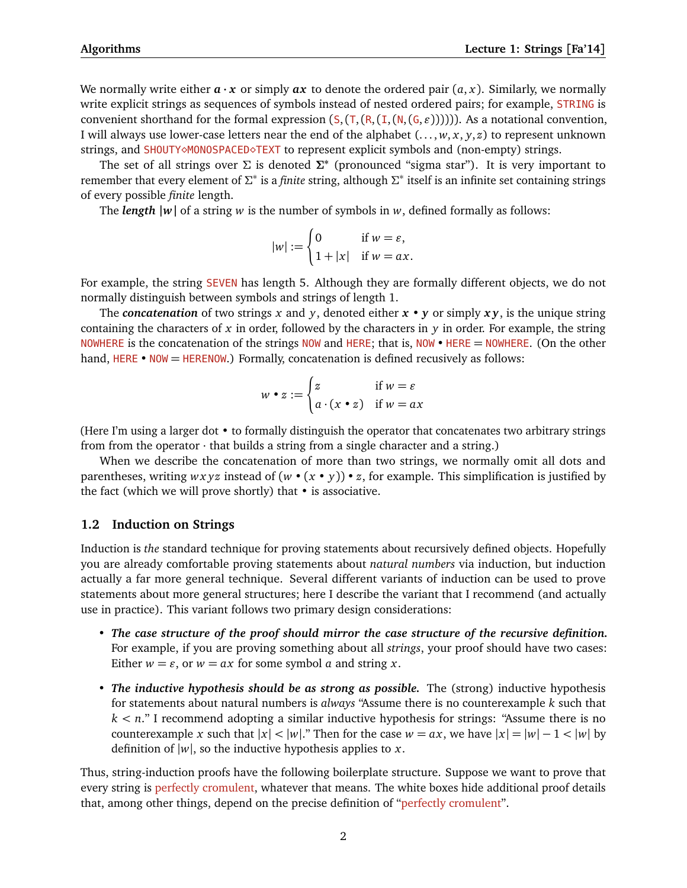We normally write either  $\mathbf{a} \cdot \mathbf{x}$  or simply  $\mathbf{a} \mathbf{x}$  to denote the ordered pair  $(a, x)$ . Similarly, we normally write explicit strings as sequences of symbols instead of nested ordered pairs; for example, STRING is convenient shorthand for the formal expression  $(S, (T, (R, (I, (N, (G, \varepsilon))))$ ). As a notational convention, I will always use lower-case letters near the end of the alphabet  $(\ldots, w, x, y, z)$  to represent unknown strings, and SHOUTY MONOSPACED TEXT to represent explicit symbols and (non-empty) strings.

The set of all strings over <sup>Σ</sup> is denoted **<sup>Σ</sup><sup>∗</sup>** (pronounced "sigma star"). It is very important to remember that every element of Σ<sup>\*</sup> is a *finite* string, although Σ<sup>\*</sup> itself is an infinite set containing strings of every possible *finite* length.

The *length*  $|w|$  of a string *w* is the number of symbols in *w*, defined formally as follows:

$$
|w| := \begin{cases} 0 & \text{if } w = \varepsilon, \\ 1 + |x| & \text{if } w = ax. \end{cases}
$$

For example, the string SEVEN has length 5. Although they are formally different objects, we do not normally distinguish between symbols and strings of length 1.

The *concatenation* of two strings *x* and *y*, denoted either *x* • *y* or simply *x y*, is the unique string containing the characters of *x* in order, followed by the characters in *y* in order. For example, the string NOWHERE is the concatenation of the strings NOW and HERE; that is, NOW  $\bullet$  HERE = NOWHERE. (On the other hand,  $HERE \cdot NOW = HERENOW$ .) Formally, concatenation is defined recusively as follows:

$$
w \bullet z := \begin{cases} z & \text{if } w = \varepsilon \\ a \cdot (x \bullet z) & \text{if } w = ax \end{cases}
$$

(Here I'm using a larger dot • to formally distinguish the operator that concatenates two arbitrary strings from from the operator  $\cdot$  that builds a string from a single character and a string.)

When we describe the concatenation of more than two strings, we normally omit all dots and parentheses, writing  $wx yz$  instead of  $(w \cdot (x \cdot y)) \cdot z$ , for example. This simplification is justified by the fact (which we will prove shortly) that • is associative.

## <span id="page-1-0"></span>**1.2 Induction on Strings**

Induction is *the* standard technique for proving statements about recursively defined objects. Hopefully you are already comfortable proving statements about *natural numbers* via induction, but induction actually a far more general technique. Several different variants of induction can be used to prove statements about more general structures; here I describe the variant that I recommend (and actually use in practice). This variant follows two primary design considerations:

- *The case structure of the proof should mirror the case structure of the recursive definition.* For example, if you are proving something about all *strings*, your proof should have two cases: Either  $w = \varepsilon$ , or  $w = ax$  for some symbol *a* and string *x*.
- *The inductive hypothesis should be as strong as possible.* The (strong) inductive hypothesis for statements about natural numbers is *always* "Assume there is no counterexample *k* such that *k < n*." I recommend adopting a similar inductive hypothesis for strings: "Assume there is no counterexample *x* such that  $|x| < |w|$ ." Then for the case  $w = ax$ , we have  $|x| = |w| - 1 < |w|$  by definition of  $|w|$ , so the inductive hypothesis applies to *x*.

Thus, string-induction proofs have the following boilerplate structure. Suppose we want to prove that every string is perfectly cromulent, whatever that means. The white boxes hide additional proof details that, among other things, depend on the precise definition of "perfectly cromulent".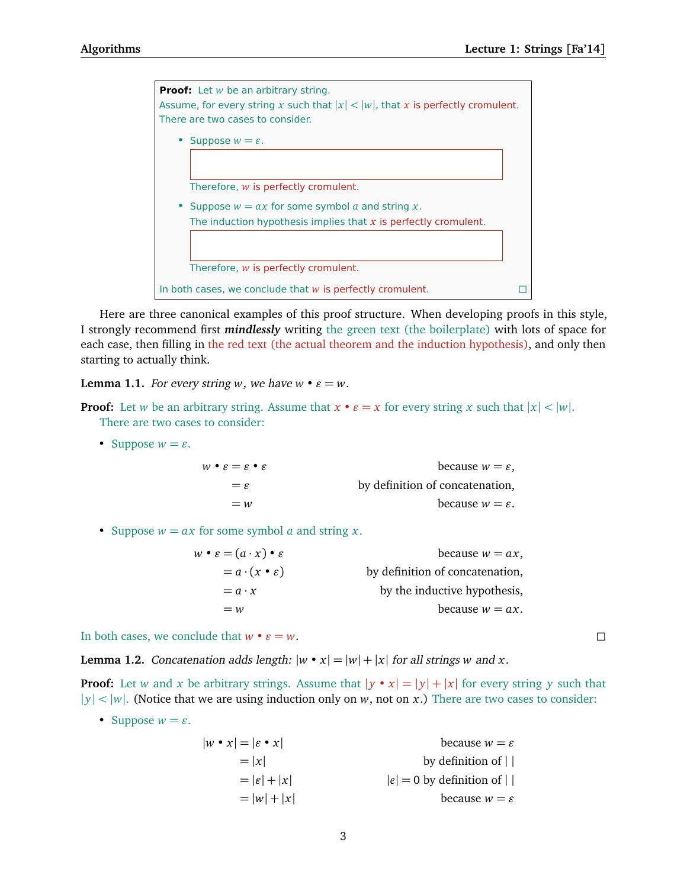

Here are three canonical examples of this proof structure. When developing proofs in this style, I strongly recommend first *mindlessly* writing the green text (the boilerplate) with lots of space for each case, then filling in the red text (the actual theorem and the induction hypothesis), and only then starting to actually think.

<span id="page-2-1"></span>**Lemma 1.1.** For every string *w*, we have  $w \cdot \varepsilon = w$ .

**Proof:** Let *w* be an arbitrary string. Assume that  $x \cdot \epsilon = x$  for every string *x* such that  $|x| < |w|$ . There are two cases to consider:

• Suppose  $w = \varepsilon$ .

 $w \cdot \varepsilon = \varepsilon \cdot \varepsilon$  because  $w = \varepsilon$ ,  $= \varepsilon$  by definition of concatenation,  $= w$  because  $w = \varepsilon$ .

• Suppose  $w = ax$  for some symbol *a* and string *x*.

| $w \bullet \varepsilon = (a \cdot x) \bullet \varepsilon$ | because $w = ax$ ,              |
|-----------------------------------------------------------|---------------------------------|
| $= a \cdot (x \bullet \varepsilon)$                       | by definition of concatenation, |
| $= a \cdot x$                                             | by the inductive hypothesis,    |
| $= w$                                                     | because $w = ax$ .              |
|                                                           |                                 |

In both cases, we conclude that  $w \cdot \varepsilon = w$ .

<span id="page-2-0"></span>**Lemma 1.2.** Concatenation adds length:  $|w \cdot x| = |w| + |x|$  for all strings w and x.

**Proof:** Let *w* and *x* be arbitrary strings. Assume that  $|y \cdot x| = |y| + |x|$  for every string *y* such that  $|y| < |w|$ . (Notice that we are using induction only on *w*, not on *x*.) There are two cases to consider:

• Suppose  $w = \varepsilon$ .

| $ w \cdot x  =  \varepsilon \cdot x $ | because $w = \varepsilon$              |
|---------------------------------------|----------------------------------------|
| $=  x $                               | by definition of $\vert \vert$         |
| $=  \varepsilon  +  x $               | $ e  = 0$ by definition of $  \cdot  $ |
| $=  w  +  x $                         | because $w = \varepsilon$              |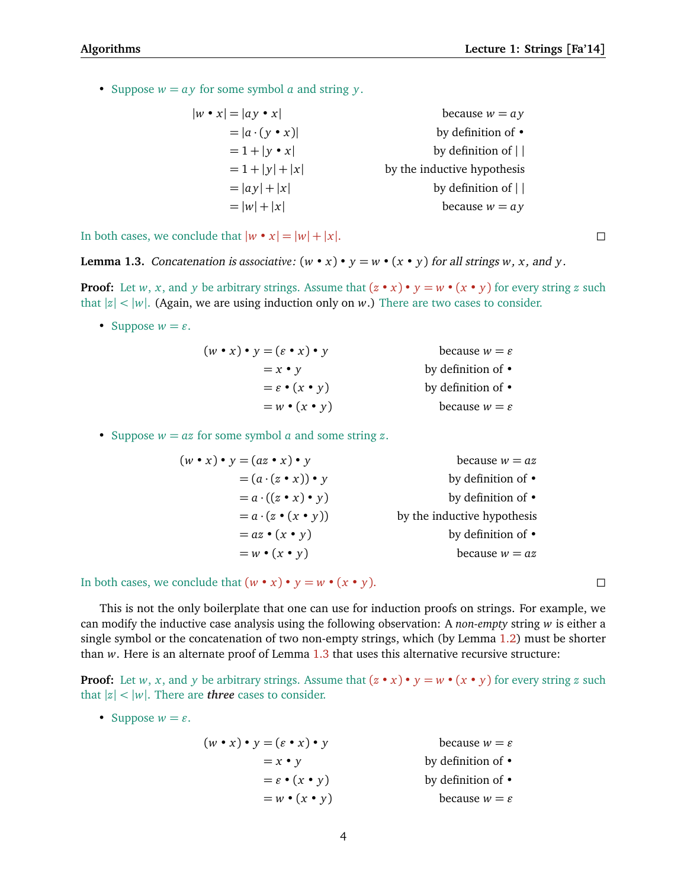• Suppose  $w = ay$  for some symbol *a* and string *y*.

| $ w \cdot x  =  ay \cdot x $ | because $w = ay$                 |
|------------------------------|----------------------------------|
| $=  a \cdot (y \cdot x) $    | by definition of $\bullet$       |
| $= 1 +  y \cdot x $          | by definition of $\vert \ \vert$ |
| $= 1 +  y  +  x $            | by the inductive hypothesis      |
| $=  ay  +  x $               | by definition of $\vert \ \vert$ |
| $=  w  +  x $                | because $w = ay$                 |

In both cases, we conclude that  $|w \cdot x| = |w| + |x|$ .

<span id="page-3-0"></span>**Lemma 1.3.** Concatenation is associative:  $(w \cdot x) \cdot y = w \cdot (x \cdot y)$  for all strings *w*, *x*, and *y*.

**Proof:** Let *w*, *x*, and *y* be arbitrary strings. Assume that  $(z \cdot x) \cdot y = w \cdot (x \cdot y)$  for every string *z* such that  $|z| < |w|$ . (Again, we are using induction only on w.) There are two cases to consider.

• Suppose  $w = \varepsilon$ .

| $(w \bullet x) \bullet y = (\varepsilon \bullet x) \bullet y$ | because $w = \varepsilon$  |
|---------------------------------------------------------------|----------------------------|
| $= x \cdot y$                                                 | by definition of $\bullet$ |
| $=\varepsilon \bullet (x \bullet y)$                          | by definition of $\bullet$ |
| $= w \bullet (x \bullet y)$                                   | because $w = \varepsilon$  |

• Suppose  $w = az$  for some symbol *a* and some string *z*.

| $(w \bullet x) \bullet y = (az \bullet x) \bullet y$ | because $w = az$            |
|------------------------------------------------------|-----------------------------|
| $=(a \cdot (z \cdot x)) \cdot y$                     | by definition of $\cdot$    |
| $= a \cdot ((z \cdot x) \cdot y)$                    | by definition of $\cdot$    |
| $= a \cdot (z \bullet (x \bullet y))$                | by the inductive hypothesis |
| $= az \bullet (x \bullet y)$                         | by definition of $\bullet$  |
| $= w \bullet (x \bullet y)$                          | because $w = az$            |

In both cases, we conclude that  $(w \cdot x) \cdot y = w \cdot (x \cdot y)$ .

This is not the only boilerplate that one can use for induction proofs on strings. For example, we can modify the inductive case analysis using the following observation: A *non-empty* string *w* is either a single symbol or the concatenation of two non-empty strings, which (by Lemma [1.2\)](#page-2-0) must be shorter than *w*. Here is an alternate proof of Lemma [1.3](#page-3-0) that uses this alternative recursive structure:

**Proof:** Let *w*, *x*, and *y* be arbitrary strings. Assume that  $(z \cdot x) \cdot y = w \cdot (x \cdot y)$  for every string *z* such that  $|z| < |w|$ . There are *three* cases to consider.

• Suppose  $w = \varepsilon$ .

| because $w = \varepsilon$  | $(w \bullet x) \bullet y = (\varepsilon \bullet x) \bullet y$ |
|----------------------------|---------------------------------------------------------------|
| by definition of $\bullet$ | $= x \cdot y$                                                 |
| by definition of $\bullet$ | $= \varepsilon \bullet (x \bullet y)$                         |
| because $w = \varepsilon$  | $= w \bullet (x \bullet y)$                                   |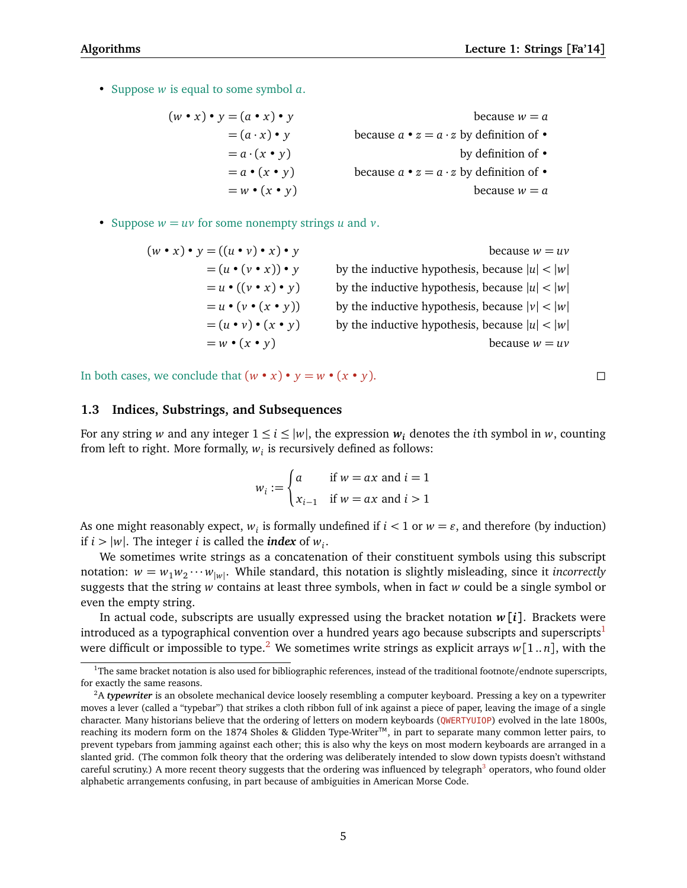• Suppose *w* is equal to some symbol *a*.

$$
(w \cdot x) \cdot y = (a \cdot x) \cdot y
$$
  
\n
$$
= (a \cdot x) \cdot y
$$
  
\n
$$
= a \cdot (x \cdot y)
$$
  
\n
$$
= a \cdot (x \cdot y)
$$
  
\n
$$
= w \cdot (x \cdot y)
$$
  
\n
$$
= w \cdot (x \cdot y)
$$
  
\n
$$
= w \cdot (x \cdot y)
$$
  
\n
$$
= a \cdot y
$$
  
\n
$$
= a \cdot y
$$
  
\n
$$
= a \cdot y
$$
  
\n
$$
= a \cdot y
$$
  
\n
$$
= a \cdot y
$$
  
\n
$$
= a \cdot y
$$
  
\n
$$
= a \cdot y
$$
  
\n
$$
= a \cdot y
$$
  
\n
$$
= a \cdot y
$$
  
\n
$$
= a \cdot y
$$
  
\n
$$
= a \cdot y
$$
  
\n
$$
= a \cdot y
$$
  
\n
$$
= a \cdot y
$$
  
\n
$$
= a \cdot y
$$
  
\n
$$
= a \cdot y
$$
  
\n
$$
= a \cdot y
$$
  
\n
$$
= a \cdot y
$$
  
\n
$$
= a \cdot y
$$
  
\n
$$
= a \cdot y
$$
  
\n
$$
= a \cdot y
$$
  
\n
$$
= a \cdot y
$$
  
\n
$$
= a \cdot y
$$
  
\n
$$
= a \cdot y
$$
  
\n
$$
= a \cdot y
$$
  
\n
$$
= a \cdot y
$$
  
\n
$$
= a \cdot y
$$
  
\n
$$
= a \cdot y
$$
  
\n
$$
= a \cdot y
$$
  
\n
$$
= a \cdot y
$$
  
\n
$$
= a \cdot y
$$
  
\n
$$
= a \cdot y
$$
  
\n
$$
= a \cdot y
$$
  
\n
$$
= a \cdot y
$$
  
\n
$$
= a \cdot y
$$
  
\n
$$
= a \cdot y
$$
  
\n
$$
= a \cdot y
$$

• Suppose  $w = uv$  for some nonempty strings *u* and *v*.

| because $w = uv$                                 | $(w \cdot x) \cdot y = ((u \cdot v) \cdot x) \cdot y$ |
|--------------------------------------------------|-------------------------------------------------------|
| by the inductive hypothesis, because $ u  <  w $ | $= (u \cdot (v \cdot x)) \cdot y$                     |
| by the inductive hypothesis, because $ u  <  w $ | $= u \cdot ((v \cdot x) \cdot y)$                     |
| by the inductive hypothesis, because $ v  <  w $ | $= u \cdot (v \cdot (x \cdot y))$                     |
| by the inductive hypothesis, because $ u  <  w $ | $=(u \cdot v) \cdot (x \cdot y)$                      |
| because $w = uv$                                 | $= w \bullet (x \bullet y)$                           |

In both cases, we conclude that  $(w \cdot x) \cdot y = w \cdot (x \cdot y)$ .

## **1.3 Indices, Substrings, and Subsequences**

For any string *w* and any integer  $1 \le i \le |w|$ , the expression  $w_i$  denotes the *i*th symbol in *w*, counting from left to right. More formally,  $w_i$  is recursively defined as follows:

$$
w_i := \begin{cases} a & \text{if } w = ax \text{ and } i = 1 \\ x_{i-1} & \text{if } w = ax \text{ and } i > 1 \end{cases}
$$

As one might reasonably expect,  $w_i$  is formally undefined if  $i < 1$  or  $w = \varepsilon$ , and therefore (by induction) if  $i > |w|$ . The integer *i* is called the *index* of  $w_i$ .

We sometimes write strings as a concatenation of their constituent symbols using this subscript notation:  $w = w_1 w_2 \cdots w_{|w|}$ . While standard, this notation is slightly misleading, since it *incorrectly* suggests that the string *w* contains at least three symbols, when in fact *w* could be a single symbol or even the empty string.

In actual code, subscripts are usually expressed using the bracket notation *w***[***i***]**. Brackets were introduced as a typographical convention over a hundred years ago because subscripts and superscripts<sup>[1](#page-4-0)</sup> were difficult or impossible to type.<sup>[2](#page-4-1)</sup> We sometimes write strings as explicit arrays  $w[1..n]$ , with the

<span id="page-4-0"></span><sup>&</sup>lt;sup>1</sup>The same bracket notation is also used for bibliographic references, instead of the traditional footnote/endnote superscripts, for exactly the same reasons.

<span id="page-4-1"></span><sup>2</sup>A *typewriter* is an obsolete mechanical device loosely resembling a computer keyboard. Pressing a key on a typewriter moves a lever (called a "typebar") that strikes a cloth ribbon full of ink against a piece of paper, leaving the image of a single character. Many historians believe that the ordering of letters on modern keyboards (QWERTYUIOP) evolved in the late 1800s, reaching its modern form on the 1874 Sholes & Glidden Type-Writer™, in part to separate many common letter pairs, to prevent typebars from jamming against each other; this is also why the keys on most modern keyboards are arranged in a slanted grid. (The common folk theory that the ordering was deliberately intended to slow down typists doesn't withstand careful scrutiny.) A more recent theory suggests that the ordering was influenced by telegraph $3$  operators, who found older alphabetic arrangements confusing, in part because of ambiguities in American Morse Code.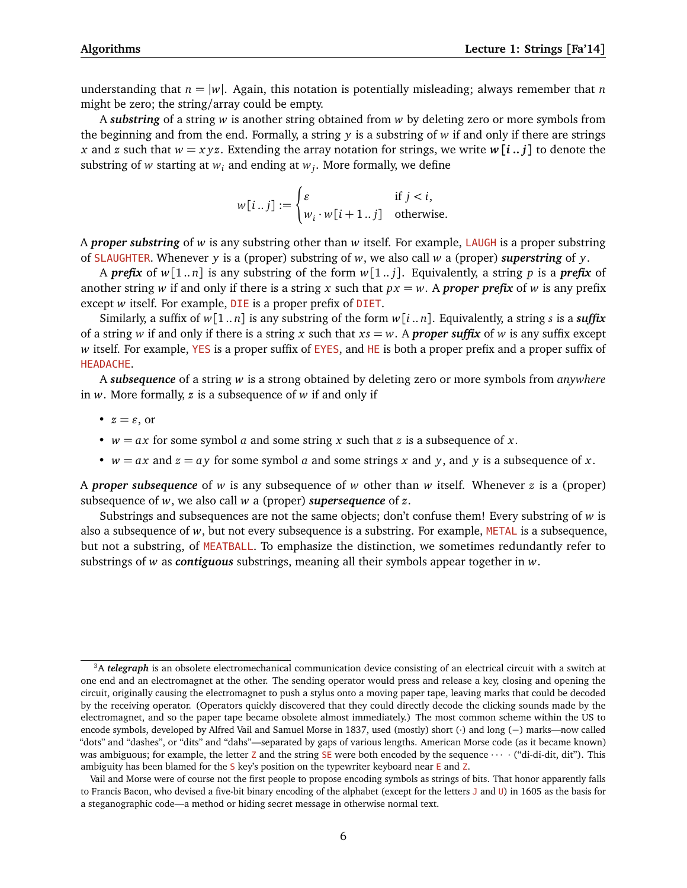understanding that  $n = |w|$ . Again, this notation is potentially misleading; always remember that *n* might be zero; the string/array could be empty.

A *substring* of a string *w* is another string obtained from *w* by deleting zero or more symbols from the beginning and from the end. Formally, a string *y* is a substring of *w* if and only if there are strings *x* and *z* such that  $w = xyz$ . Extending the array notation for strings, we write  $w[i, j]$  to denote the substring of *w* starting at *w<sup>i</sup>* and ending at *w<sup>j</sup>* . More formally, we define

$$
w[i..j] := \begin{cases} \varepsilon & \text{if } j < i, \\ w_i \cdot w[i+1..j] & \text{otherwise.} \end{cases}
$$

A *proper substring* of *w* is any substring other than *w* itself. For example, LAUGH is a proper substring of SLAUGHTER. Whenever *y* is a (proper) substring of *w*, we also call *w* a (proper) *superstring* of *y*.

A *prefix* of  $w[1..n]$  is any substring of the form  $w[1..i]$ . Equivalently, a string p is a *prefix* of another string *w* if and only if there is a string *x* such that  $px = w$ . A *proper prefix* of *w* is any prefix except *w* itself. For example, DIE is a proper prefix of DIET.

Similarly, a suffix of  $w[1..n]$  is any substring of the form  $w[i..n]$ . Equivalently, a string *s* is a *suffix* of a string *w* if and only if there is a string *x* such that  $xs = w$ . A *proper suffix* of *w* is any suffix except *w* itself. For example, YES is a proper suffix of EYES, and HE is both a proper prefix and a proper suffix of HEADACHE.

A *subsequence* of a string *w* is a strong obtained by deleting zero or more symbols from *anywhere* in *w*. More formally, *z* is a subsequence of *w* if and only if

- $z = \varepsilon$ , or
- $w = ax$  for some symbol *a* and some string *x* such that *z* is a subsequence of *x*.
- $w = ax$  and  $z = ay$  for some symbol *a* and some strings *x* and *y*, and *y* is a subsequence of *x*.

A *proper subsequence* of *w* is any subsequence of *w* other than *w* itself. Whenever *z* is a (proper) subsequence of *w*, we also call *w* a (proper) *supersequence* of *z*.

Substrings and subsequences are not the same objects; don't confuse them! Every substring of *w* is also a subsequence of  $w$ , but not every subsequence is a substring. For example, METAL is a subsequence, but not a substring, of MEATBALL. To emphasize the distinction, we sometimes redundantly refer to substrings of *w* as *contiguous* substrings, meaning all their symbols appear together in *w*.

<span id="page-5-0"></span><sup>&</sup>lt;sup>3</sup>A *telegraph* is an obsolete electromechanical communication device consisting of an electrical circuit with a switch at one end and an electromagnet at the other. The sending operator would press and release a key, closing and opening the circuit, originally causing the electromagnet to push a stylus onto a moving paper tape, leaving marks that could be decoded by the receiving operator. (Operators quickly discovered that they could directly decode the clicking sounds made by the electromagnet, and so the paper tape became obsolete almost immediately.) The most common scheme within the US to encode symbols, developed by Alfred Vail and Samuel Morse in 1837, used (mostly) short (·) and long (−) marks—now called "dots" and "dashes", or "dits" and "dahs"—separated by gaps of various lengths. American Morse code (as it became known) was ambiguous; for example, the letter Z and the string SE were both encoded by the sequence  $\cdots$  ("di-di-dit, dit"). This ambiguity has been blamed for the S key's position on the typewriter keyboard near E and Z.

Vail and Morse were of course not the first people to propose encoding symbols as strings of bits. That honor apparently falls to Francis Bacon, who devised a five-bit binary encoding of the alphabet (except for the letters J and U) in 1605 as the basis for a steganographic code—a method or hiding secret message in otherwise normal text.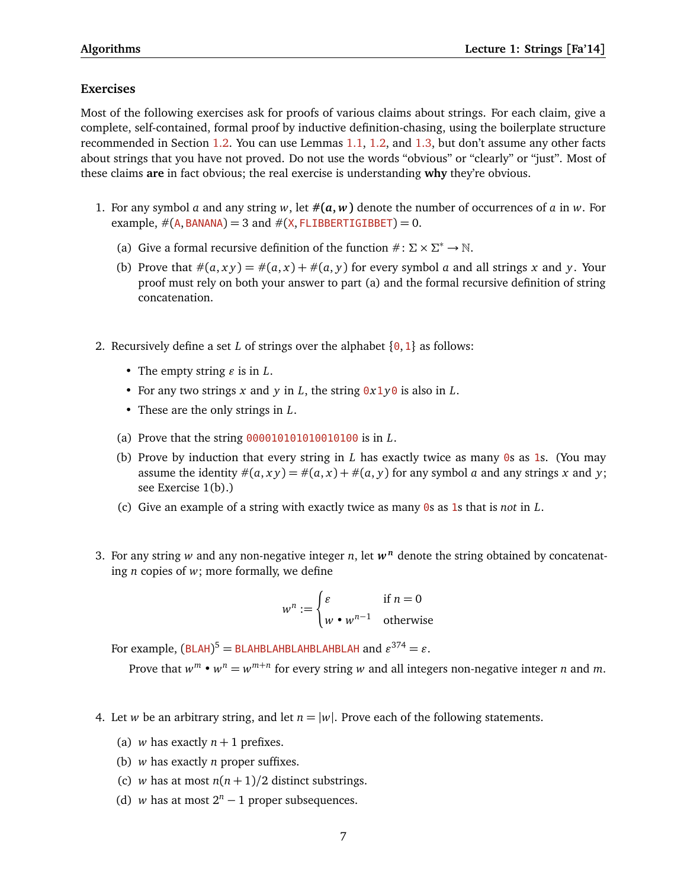### **Exercises**

Most of the following exercises ask for proofs of various claims about strings. For each claim, give a complete, self-contained, formal proof by inductive definition-chasing, using the boilerplate structure recommended in Section [1.2.](#page-1-0) You can use Lemmas [1.1,](#page-2-1) [1.2,](#page-2-0) and [1.3,](#page-3-0) but don't assume any other facts about strings that you have not proved. Do not use the words "obvious" or "clearly" or "just". Most of these claims **are** in fact obvious; the real exercise is understanding **why** they're obvious.

- 1. For any symbol *a* and any string *w*, let  $\#(a, w)$  denote the number of occurrences of *a* in *w*. For example,  $\#(A, BANANA) = 3$  and  $\#(X, FLIBBERTIGIBBET) = 0$ .
	- (a) Give a formal recursive definition of the function  $\# : \Sigma \times \Sigma^* \to \mathbb{N}$ .
	- (b) Prove that  $\#(a, xy) = \#(a, x) + \#(a, y)$  for every symbol *a* and all strings *x* and *y*. Your proof must rely on both your answer to part (a) and the formal recursive definition of string concatenation.
- 2. Recursively define a set *L* of strings over the alphabet  $\{0, 1\}$  as follows:
	- The empty string  $\varepsilon$  is in  $L$ .
	- For any two strings *x* and *y* in *L*, the string 0*x*1*y*0 is also in *L*.
	- These are the only strings in *L*.
	- (a) Prove that the string 000010101010010100 is in *L*.
	- (b) Prove by induction that every string in *L* has exactly twice as many 0s as 1s. (You may assume the identity  $\#(a, xy) = \#(a, x) + \#(a, y)$  for any symbol *a* and any strings *x* and *y*; see Exercise 1(b).)
	- (c) Give an example of a string with exactly twice as many 0s as 1s that is *not* in *L*.
- 3. For any string *w* and any non-negative integer *n*, let *w<sup>n</sup>* denote the string obtained by concatenating *n* copies of *w*; more formally, we define

$$
w^n := \begin{cases} \varepsilon & \text{if } n = 0\\ w \cdot w^{n-1} & \text{otherwise} \end{cases}
$$

For example,  $(BLAH)^5 = BLAHBLAHBLAHBLAHBLAH$  and  $\varepsilon^{374} = \varepsilon$ .

Prove that  $w^m \cdot w^n = w^{m+n}$  for every string *w* and all integers non-negative integer *n* and *m*.

- 4. Let *w* be an arbitrary string, and let  $n = |w|$ . Prove each of the following statements.
	- (a) *w* has exactly  $n + 1$  prefixes.
	- (b) *w* has exactly *n* proper suffixes.
	- (c) *w* has at most  $n(n+1)/2$  distinct substrings.
	- (d) *w* has at most  $2^n 1$  proper subsequences.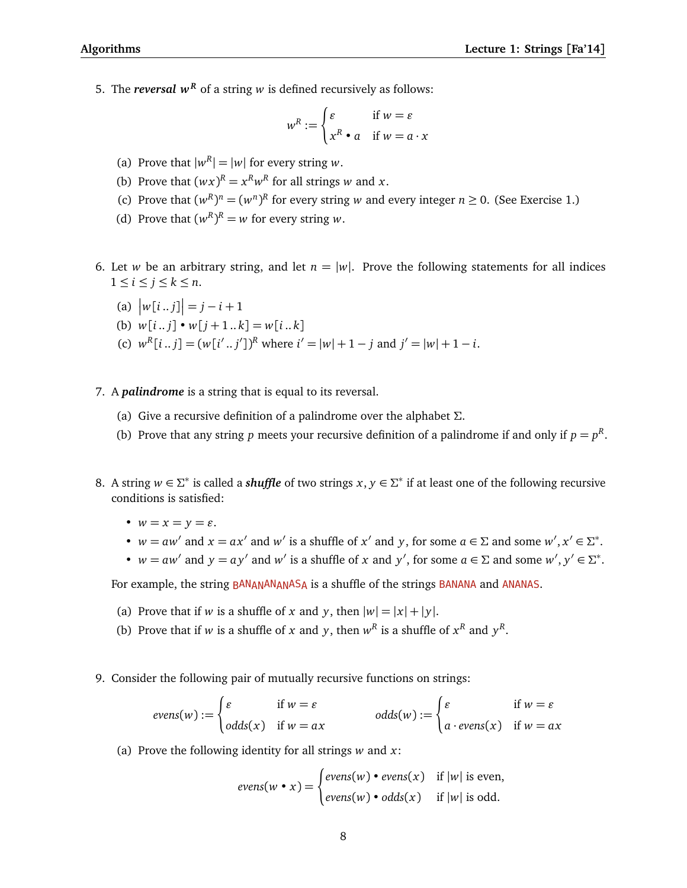5. The *reversal w<sup>R</sup>* of a string *w* is defined recursively as follows:

$$
w^R := \begin{cases} \varepsilon & \text{if } w = \varepsilon \\ x^R \bullet a & \text{if } w = a \cdot x \end{cases}
$$

- (a) Prove that  $|w^R| = |w|$  for every string *w*.
- (b) Prove that  $(wx)^R = x^R w^R$  for all strings *w* and *x*.
- (c) Prove that  $(w^R)^n = (w^n)^R$  for every string *w* and every integer *n*  $\geq$  0. (See Exercise 1.)
- (d) Prove that  $(w^R)^R = w$  for every string *w*.
- 6. Let *w* be an arbitrary string, and let  $n = |w|$ . Prove the following statements for all indices  $1 \leq i \leq j \leq k \leq n$ .
	- (a)  $|w[i..j]| = j i + 1$
	- (b)  $w[i..j] \cdot w[j+1..k] = w[i..k]$
	- (c)  $w^R[i..j] = (w[i'..j'])^R$  where  $i' = |w| + 1 j$  and  $j' = |w| + 1 i$ .
- 7. A *palindrome* is a string that is equal to its reversal.
	- (a) Give a recursive definition of a palindrome over the alphabet  $\Sigma$ .
	- (b) Prove that any string *p* meets your recursive definition of a palindrome if and only if  $p = p<sup>R</sup>$ .
- 8. A string  $w \in \Sigma^*$  is called a *shuffle* of two strings  $x, y \in \Sigma^*$  if at least one of the following recursive conditions is satisfied:
	- $w = x = y = \varepsilon$ .
	- $w = aw'$  and  $x = ax'$  and  $w'$  is a shuffle of  $x'$  and  $y$ , for some  $a \in \Sigma$  and some  $w', x' \in \Sigma^*$ .
	- $w = aw'$  and  $y = ay'$  and  $w'$  is a shuffle of *x* and *y'*, for some  $a \in \Sigma$  and some  $w', y' \in \Sigma^*$ .

For example, the string BANANANANASA is a shuffle of the strings BANANA and ANANAS.

- (a) Prove that if *w* is a shuffle of *x* and *y*, then  $|w| = |x| + |y|$ .
- (b) Prove that if *w* is a shuffle of *x* and *y*, then  $w^R$  is a shuffle of  $x^R$  and  $y^R$ .
- 9. Consider the following pair of mutually recursive functions on strings:

$$
evens(w) := \begin{cases} \varepsilon & \text{if } w = \varepsilon \\ odds(x) & \text{if } w = ax \end{cases} odds(w) := \begin{cases} \varepsilon & \text{if } w = \varepsilon \\ a \cdot evens(x) & \text{if } w = ax \end{cases}
$$

(a) Prove the following identity for all strings *w* and *x*:

$$
evens(w \bullet x) = \begin{cases} evens(w) \bullet evens(x) & \text{if } |w| \text{ is even,} \\ evens(w) \bullet odds(x) & \text{if } |w| \text{ is odd.} \end{cases}
$$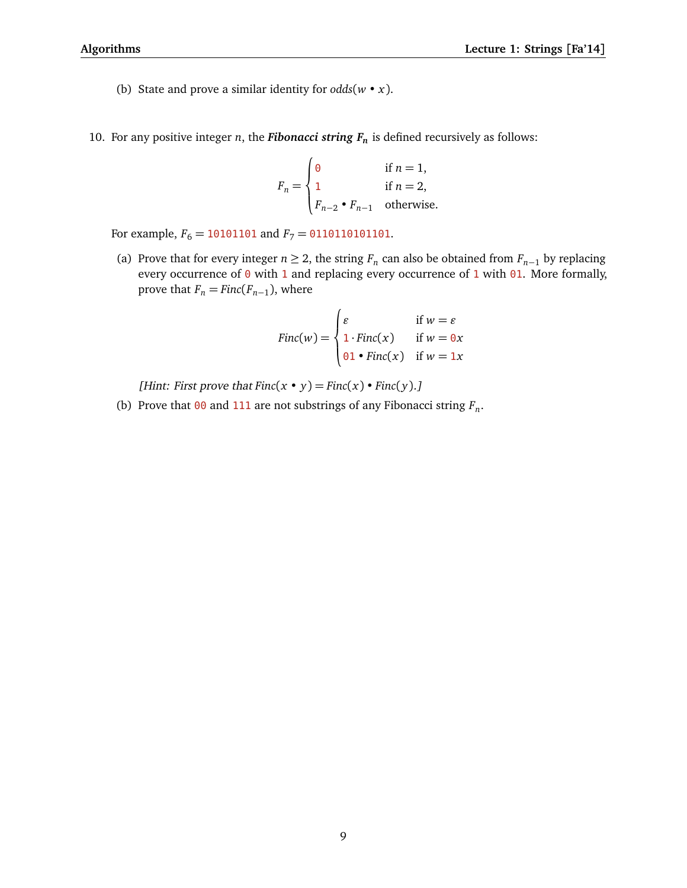- (b) State and prove a similar identity for  $odds(w \cdot x)$ .
- 10. For any positive integer  $n$ , the **Fibonacci string**  $F_n$  is defined recursively as follows:

$$
F_n = \begin{cases} 0 & \text{if } n = 1, \\ 1 & \text{if } n = 2, \\ F_{n-2} \bullet F_{n-1} & \text{otherwise.} \end{cases}
$$

For example,  $F_6 = 10101101$  and  $F_7 = 0110110101101$ .

(a) Prove that for every integer  $n \geq 2$ , the string  $F_n$  can also be obtained from  $F_{n-1}$  by replacing every occurrence of 0 with 1 and replacing every occurrence of 1 with 01. More formally, prove that  $F_n = \text{Finc}(F_{n-1})$ , where

$$
Finc(w) = \begin{cases} \varepsilon & \text{if } w = \varepsilon \\ 1 \cdot Finc(x) & \text{if } w = 0x \\ 01 \cdot Finc(x) & \text{if } w = 1x \end{cases}
$$

[Hint: First prove that  $\text{Finc}(x \cdot y) = \text{Finc}(x) \cdot \text{Finc}(y)$ .]

(b) Prove that  $00$  and 111 are not substrings of any Fibonacci string  $F_n$ .